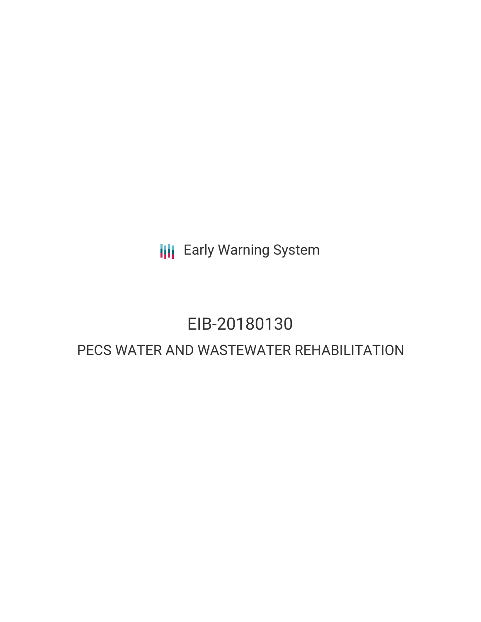**III** Early Warning System

## EIB-20180130

### PECS WATER AND WASTEWATER REHABILITATION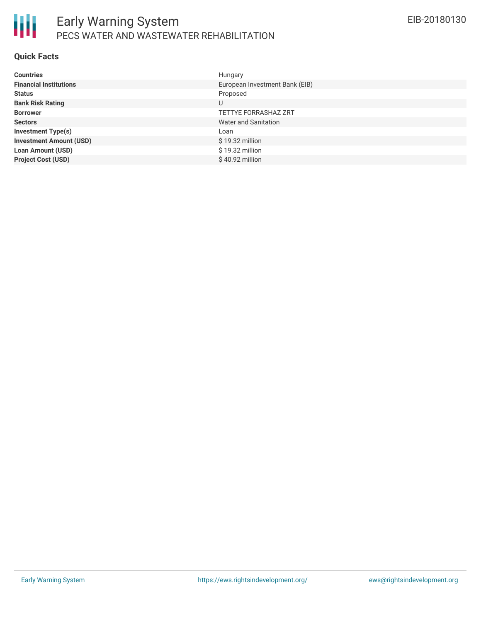

### **Quick Facts**

| <b>Countries</b>               | Hungary                        |
|--------------------------------|--------------------------------|
| <b>Financial Institutions</b>  | European Investment Bank (EIB) |
| <b>Status</b>                  | Proposed                       |
| <b>Bank Risk Rating</b>        | U                              |
| <b>Borrower</b>                | <b>TETTYE FORRASHAZ ZRT</b>    |
| <b>Sectors</b>                 | <b>Water and Sanitation</b>    |
| <b>Investment Type(s)</b>      | Loan                           |
| <b>Investment Amount (USD)</b> | \$19.32 million                |
| <b>Loan Amount (USD)</b>       | \$19.32 million                |
| <b>Project Cost (USD)</b>      | $$40.92$ million               |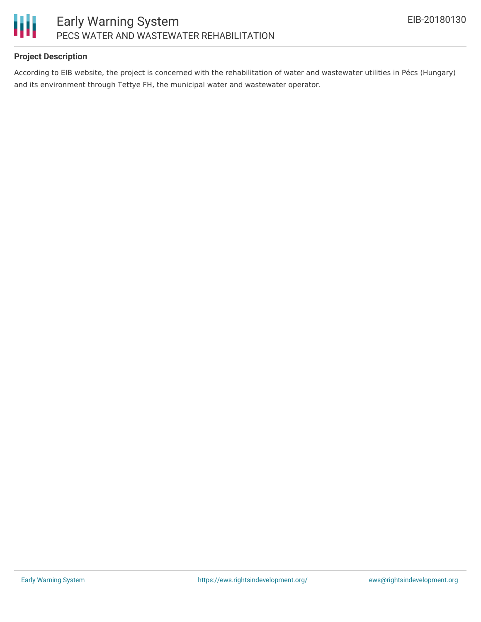

### **Project Description**

According to EIB website, the project is concerned with the rehabilitation of water and wastewater utilities in Pécs (Hungary) and its environment through Tettye FH, the municipal water and wastewater operator.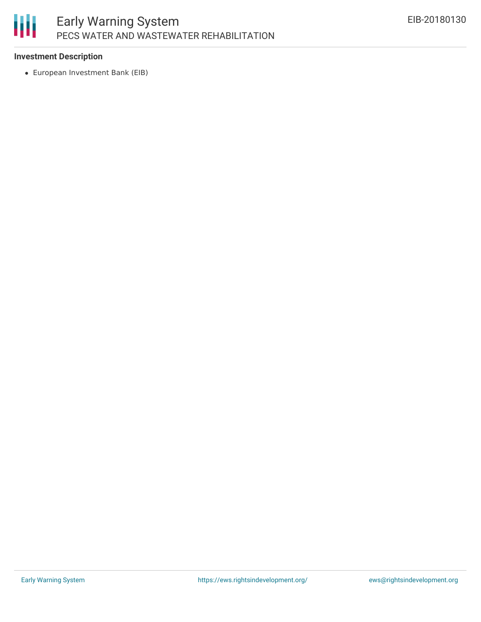# 冊

### **Investment Description**

European Investment Bank (EIB)